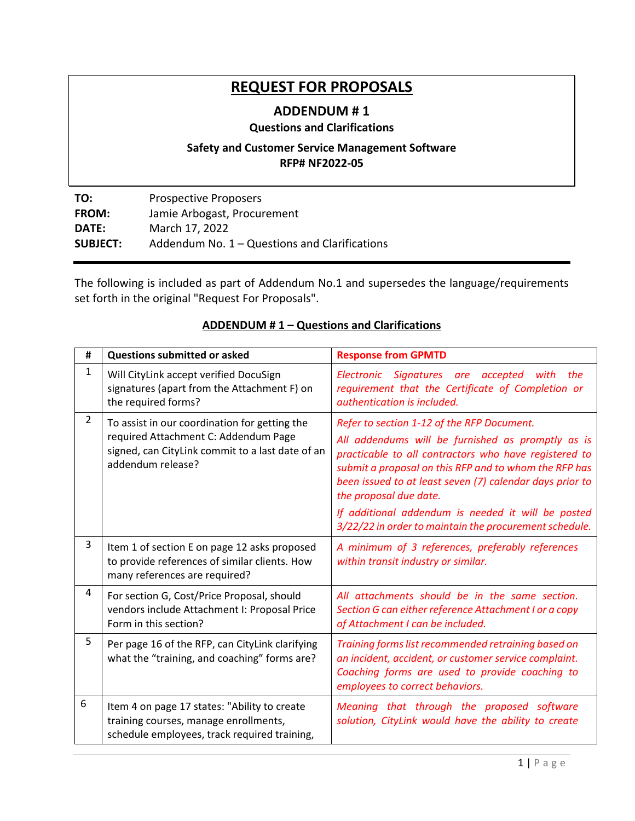# **REQUEST FOR PROPOSALS**

# **ADDENDUM # 1**

### **Questions and Clarifications**

## **Safety and Customer Service Management Software RFP# NF2022-05**

**TO:** Prospective Proposers **FROM:** Jamie Arbogast, Procurement **DATE:** March 17, 2022 **SUBJECT:** Addendum No. 1 – Questions and Clarifications

The following is included as part of Addendum No.1 and supersedes the language/requirements set forth in the original "Request For Proposals".

#### **# Questions submitted or asked Response from GPMTD**  $1$  Will CityLink accept verified DocuSign signatures (apart from the Attachment F) on the required forms? *Electronic Signatures are accepted with the requirement that the Certificate of Completion or authentication is included.*  $2 \mid$  To assist in our coordination for getting the required Attachment C: Addendum Page signed, can CityLink commit to a last date of an addendum release? *Refer to section 1-12 of the RFP Document. All addendums will be furnished as promptly as is practicable to all contractors who have registered to submit a proposal on this RFP and to whom the RFP has been issued to at least seven (7) calendar days prior to the proposal due date. If additional addendum is needed it will be posted 3/22/22 in order to maintain the procurement schedule.*  $3$  | Item 1 of section E on page 12 asks proposed to provide references of similar clients. How many references are required? *A minimum of 3 references, preferably references within transit industry or similar.* <sup>4</sup> For section G, Cost/Price Proposal, should vendors include Attachment I: Proposal Price Form in this section? *All attachments should be in the same section. Section G can either reference Attachment I or a copy of Attachment I can be included.*  $5$  Per page 16 of the RFP, can CityLink clarifying what the "training, and coaching" forms are? *Training forms list recommended retraining based on an incident, accident, or customer service complaint. Coaching forms are used to provide coaching to employees to correct behaviors.*  $6$  | Item 4 on page 17 states: "Ability to create training courses, manage enrollments, schedule employees, track required training, *Meaning that through the proposed software solution, CityLink would have the ability to create*

### **ADDENDUM # 1 – Questions and Clarifications**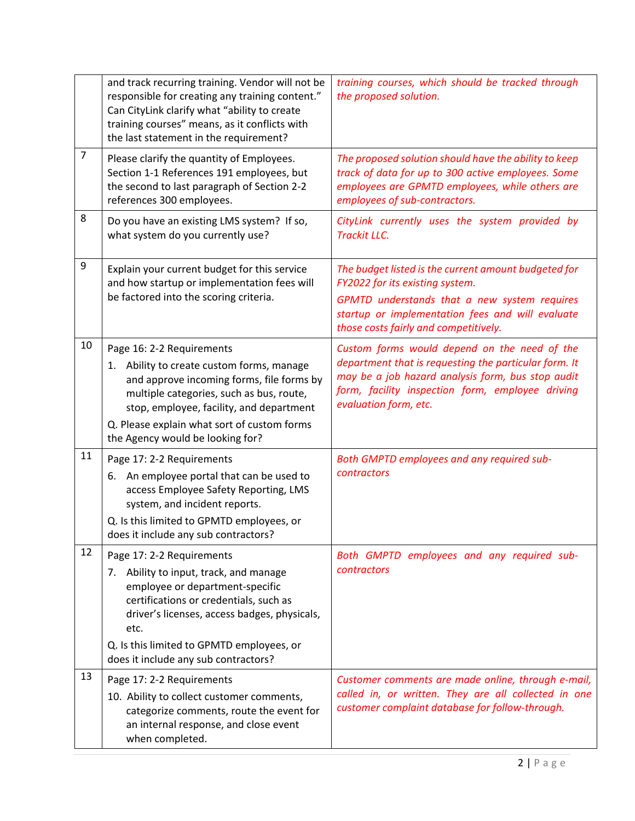|                | and track recurring training. Vendor will not be<br>responsible for creating any training content."<br>Can CityLink clarify what "ability to create<br>training courses" means, as it conflicts with<br>the last statement in the requirement?                                                 | training courses, which should be tracked through<br>the proposed solution.                                                                                                                                                             |
|----------------|------------------------------------------------------------------------------------------------------------------------------------------------------------------------------------------------------------------------------------------------------------------------------------------------|-----------------------------------------------------------------------------------------------------------------------------------------------------------------------------------------------------------------------------------------|
| $\overline{7}$ | Please clarify the quantity of Employees.<br>Section 1-1 References 191 employees, but<br>the second to last paragraph of Section 2-2<br>references 300 employees.                                                                                                                             | The proposed solution should have the ability to keep<br>track of data for up to 300 active employees. Some<br>employees are GPMTD employees, while others are<br>employees of sub-contractors.                                         |
| 8              | Do you have an existing LMS system? If so,<br>what system do you currently use?                                                                                                                                                                                                                | CityLink currently uses the system provided by<br><b>Trackit LLC.</b>                                                                                                                                                                   |
| 9              | Explain your current budget for this service<br>and how startup or implementation fees will<br>be factored into the scoring criteria.                                                                                                                                                          | The budget listed is the current amount budgeted for<br>FY2022 for its existing system.<br>GPMTD understands that a new system requires<br>startup or implementation fees and will evaluate<br>those costs fairly and competitively.    |
| 10             | Page 16: 2-2 Requirements<br>1. Ability to create custom forms, manage<br>and approve incoming forms, file forms by<br>multiple categories, such as bus, route,<br>stop, employee, facility, and department<br>Q. Please explain what sort of custom forms<br>the Agency would be looking for? | Custom forms would depend on the need of the<br>department that is requesting the particular form. It<br>may be a job hazard analysis form, bus stop audit<br>form, facility inspection form, employee driving<br>evaluation form, etc. |
| 11             | Page 17: 2-2 Requirements<br>An employee portal that can be used to<br>6.<br>access Employee Safety Reporting, LMS<br>system, and incident reports.<br>Q. Is this limited to GPMTD employees, or<br>does it include any sub contractors?                                                       | Both GMPTD employees and any required sub-<br>contractors                                                                                                                                                                               |
| 12             | Page 17: 2-2 Requirements<br>7. Ability to input, track, and manage<br>employee or department-specific<br>certifications or credentials, such as<br>driver's licenses, access badges, physicals,<br>etc.<br>Q. Is this limited to GPMTD employees, or<br>does it include any sub contractors?  | Both GMPTD employees and any required sub-<br><b>contractors</b>                                                                                                                                                                        |
| 13             | Page 17: 2-2 Requirements<br>10. Ability to collect customer comments,<br>categorize comments, route the event for<br>an internal response, and close event<br>when completed.                                                                                                                 | Customer comments are made online, through e-mail,<br>called in, or written. They are all collected in one<br>customer complaint database for follow-through.                                                                           |